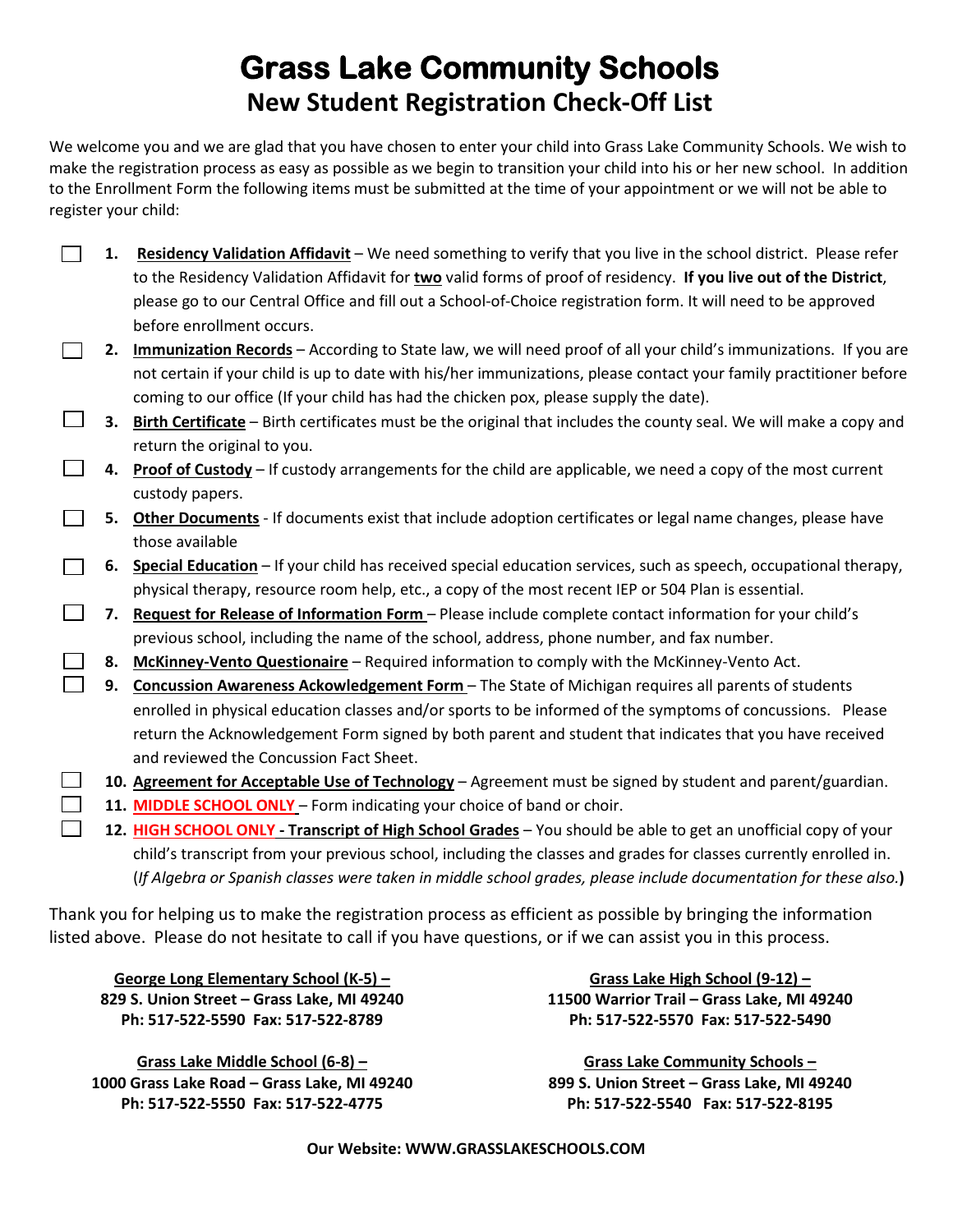# **Grass Lake Community Schools New Student Registration Check-Off List**

We welcome you and we are glad that you have chosen to enter your child into Grass Lake Community Schools. We wish to make the registration process as easy as possible as we begin to transition your child into his or her new school. In addition to the Enrollment Form the following items must be submitted at the time of your appointment or we will not be able to register your child:

| 1. | Residency Validation Affidavit - We need something to verify that you live in the school district. Please refer    |
|----|--------------------------------------------------------------------------------------------------------------------|
|    | to the Residency Validation Affidavit for two valid forms of proof of residency. If you live out of the District,  |
|    | please go to our Central Office and fill out a School-of-Choice registration form. It will need to be approved     |
|    | before enrollment occurs.                                                                                          |
| 2. | Immunization Records - According to State law, we will need proof of all your child's immunizations. If you are    |
|    | not certain if your child is up to date with his/her immunizations, please contact your family practitioner before |
|    |                                                                                                                    |
|    | coming to our office (If your child has had the chicken pox, please supply the date).                              |
| 3. | Birth Certificate – Birth certificates must be the original that includes the county seal. We will make a copy and |
|    | return the original to you.                                                                                        |
| 4. | Proof of Custody - If custody arrangements for the child are applicable, we need a copy of the most current        |
|    | custody papers.                                                                                                    |
| 5. | Other Documents - If documents exist that include adoption certificates or legal name changes, please have         |
|    | those available                                                                                                    |
| 6. | Special Education - If your child has received special education services, such as speech, occupational therapy,   |
|    | physical therapy, resource room help, etc., a copy of the most recent IEP or 504 Plan is essential.                |
| 7. | Request for Release of Information Form - Please include complete contact information for your child's             |
|    | previous school, including the name of the school, address, phone number, and fax number.                          |
| 8. | McKinney-Vento Questionaire - Required information to comply with the McKinney-Vento Act.                          |
| 9. | Concussion Awareness Ackowledgement Form - The State of Michigan requires all parents of students                  |
|    | enrolled in physical education classes and/or sports to be informed of the symptoms of concussions. Please         |
|    | return the Acknowledgement Form signed by both parent and student that indicates that you have received            |
|    | and reviewed the Concussion Fact Sheet.                                                                            |
|    | 10. Agreement for Acceptable Use of Technology - Agreement must be signed by student and parent/guardian.          |
|    | 11. MIDDLE SCHOOL ONLY - Form indicating your choice of band or choir.                                             |
|    | 12. HIGH SCHOOL ONLY - Transcript of High School Grades - You should be able to get an unofficial copy of your     |
|    | child's transcript from your previous school, including the classes and grades for classes currently enrolled in.  |
|    |                                                                                                                    |

Thank you for helping us to make the registration process as efficient as possible by bringing the information listed above. Please do not hesitate to call if you have questions, or if we can assist you in this process.

**George Long Elementary School (K-5) – 829 S. Union Street – Grass Lake, MI 49240 Ph: 517-522-5590 Fax: 517-522-8789**

**Grass Lake Middle School (6-8) – 1000 Grass Lake Road – Grass Lake, MI 49240 Ph: 517-522-5550 Fax: 517-522-4775**

**Grass Lake High School (9-12) – 11500 Warrior Trail – Grass Lake, MI 49240 Ph: 517-522-5570 Fax: 517-522-5490**

**Grass Lake Community Schools – 899 S. Union Street – Grass Lake, MI 49240 Ph: 517-522-5540 Fax: 517-522-8195**

**Our Website: WWW.GRASSLAKESCHOOLS.COM**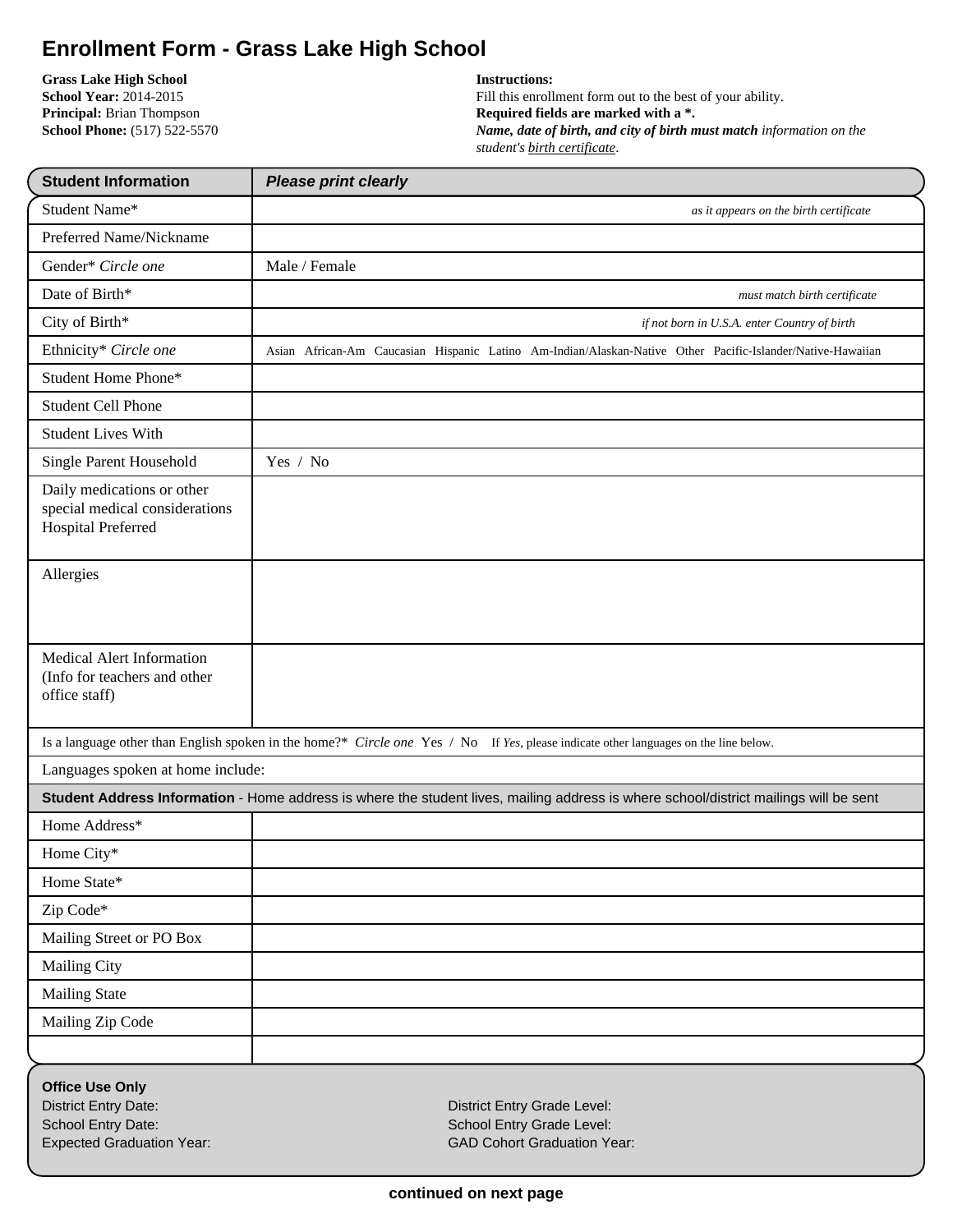## **Enrollment Form - Grass Lake High School**

**Grass Lake High School School Year:** 2014-2015 **Principal:** Brian Thompson **School Phone:** (517) 522-5570

#### **Instructions:**

Fill this enrollment form out to the best of your ability. **Required fields are marked with a \*.** *Name, date of birth, and city of birth must match information on the student's birth certificate*.

| <b>Student Information</b>                                                                                      | <b>Please print clearly</b>                                                                                                           |
|-----------------------------------------------------------------------------------------------------------------|---------------------------------------------------------------------------------------------------------------------------------------|
| Student Name*                                                                                                   | as it appears on the birth certificate                                                                                                |
| Preferred Name/Nickname                                                                                         |                                                                                                                                       |
| Gender* Circle one                                                                                              | Male / Female                                                                                                                         |
| Date of Birth*                                                                                                  | must match birth certificate                                                                                                          |
| City of Birth*                                                                                                  | if not born in U.S.A. enter Country of birth                                                                                          |
| Ethnicity* Circle one                                                                                           | Asian African-Am Caucasian Hispanic Latino Am-Indian/Alaskan-Native Other Pacific-Islander/Native-Hawaiian                            |
| <b>Student Home Phone*</b>                                                                                      |                                                                                                                                       |
| <b>Student Cell Phone</b>                                                                                       |                                                                                                                                       |
| <b>Student Lives With</b>                                                                                       |                                                                                                                                       |
| Single Parent Household                                                                                         | Yes / No                                                                                                                              |
| Daily medications or other<br>special medical considerations<br>Hospital Preferred                              |                                                                                                                                       |
| Allergies                                                                                                       |                                                                                                                                       |
| Medical Alert Information<br>(Info for teachers and other<br>office staff)                                      |                                                                                                                                       |
|                                                                                                                 | Is a language other than English spoken in the home?* Circle one Yes / No If Yes, please indicate other languages on the line below.  |
| Languages spoken at home include:                                                                               |                                                                                                                                       |
|                                                                                                                 | Student Address Information - Home address is where the student lives, mailing address is where school/district mailings will be sent |
| Home Address*                                                                                                   |                                                                                                                                       |
| Home City*                                                                                                      |                                                                                                                                       |
| Home State*                                                                                                     |                                                                                                                                       |
| Zip Code*                                                                                                       |                                                                                                                                       |
| Mailing Street or PO Box                                                                                        |                                                                                                                                       |
| <b>Mailing City</b>                                                                                             |                                                                                                                                       |
| <b>Mailing State</b>                                                                                            |                                                                                                                                       |
| Mailing Zip Code                                                                                                |                                                                                                                                       |
|                                                                                                                 |                                                                                                                                       |
| <b>Office Use Only</b><br><b>District Entry Date:</b><br>School Entry Date:<br><b>Expected Graduation Year:</b> | District Entry Grade Level:<br>School Entry Grade Level:<br><b>GAD Cohort Graduation Year:</b>                                        |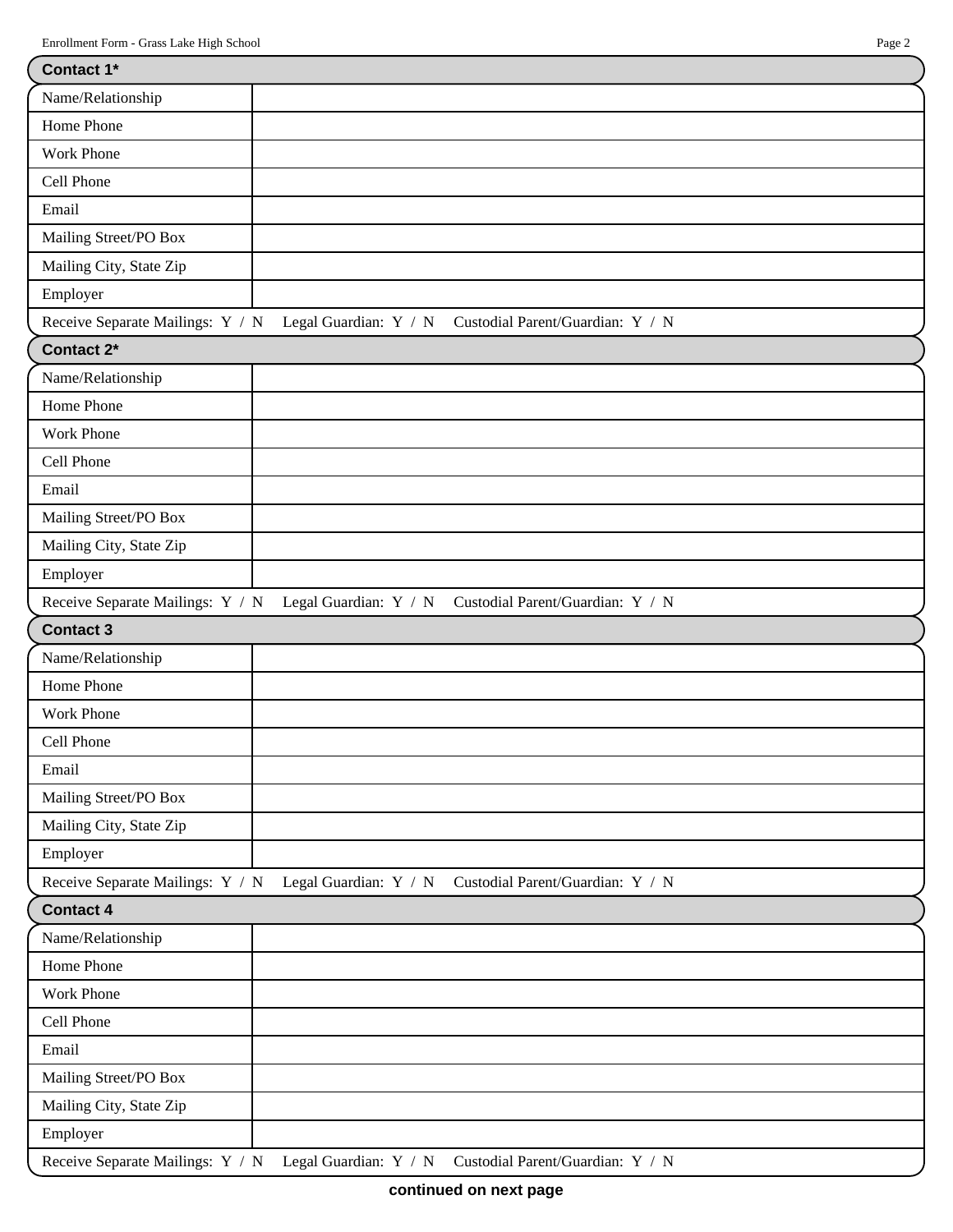| Contact 1*                       |                                                                                         |  |  |  |
|----------------------------------|-----------------------------------------------------------------------------------------|--|--|--|
| Name/Relationship                |                                                                                         |  |  |  |
| Home Phone                       |                                                                                         |  |  |  |
| <b>Work Phone</b>                |                                                                                         |  |  |  |
| Cell Phone                       |                                                                                         |  |  |  |
| Email                            |                                                                                         |  |  |  |
| Mailing Street/PO Box            |                                                                                         |  |  |  |
| Mailing City, State Zip          |                                                                                         |  |  |  |
| Employer                         |                                                                                         |  |  |  |
| Receive Separate Mailings: Y / N | Legal Guardian: Y / N Custodial Parent/Guardian: Y / N                                  |  |  |  |
| Contact 2*                       |                                                                                         |  |  |  |
| Name/Relationship                |                                                                                         |  |  |  |
| Home Phone                       |                                                                                         |  |  |  |
| Work Phone                       |                                                                                         |  |  |  |
| Cell Phone                       |                                                                                         |  |  |  |
| Email                            |                                                                                         |  |  |  |
| Mailing Street/PO Box            |                                                                                         |  |  |  |
| Mailing City, State Zip          |                                                                                         |  |  |  |
| Employer                         |                                                                                         |  |  |  |
| Receive Separate Mailings: Y / N | Legal Guardian: Y / N Custodial Parent/Guardian: Y / N                                  |  |  |  |
| <b>Contact 3</b>                 |                                                                                         |  |  |  |
| Name/Relationship                |                                                                                         |  |  |  |
| Home Phone                       |                                                                                         |  |  |  |
| Work Phone                       |                                                                                         |  |  |  |
| Cell Phone                       |                                                                                         |  |  |  |
| Email                            |                                                                                         |  |  |  |
|                                  |                                                                                         |  |  |  |
| Mailing Street/PO Box            |                                                                                         |  |  |  |
| Mailing City, State Zip          |                                                                                         |  |  |  |
| Employer                         |                                                                                         |  |  |  |
|                                  | Receive Separate Mailings: Y / N Legal Guardian: Y / N Custodial Parent/Guardian: Y / N |  |  |  |
| <b>Contact 4</b>                 |                                                                                         |  |  |  |
| Name/Relationship                |                                                                                         |  |  |  |
| Home Phone                       |                                                                                         |  |  |  |
| <b>Work Phone</b>                |                                                                                         |  |  |  |
| Cell Phone                       |                                                                                         |  |  |  |
| Email                            |                                                                                         |  |  |  |
| Mailing Street/PO Box            |                                                                                         |  |  |  |
| Mailing City, State Zip          |                                                                                         |  |  |  |
| Employer                         |                                                                                         |  |  |  |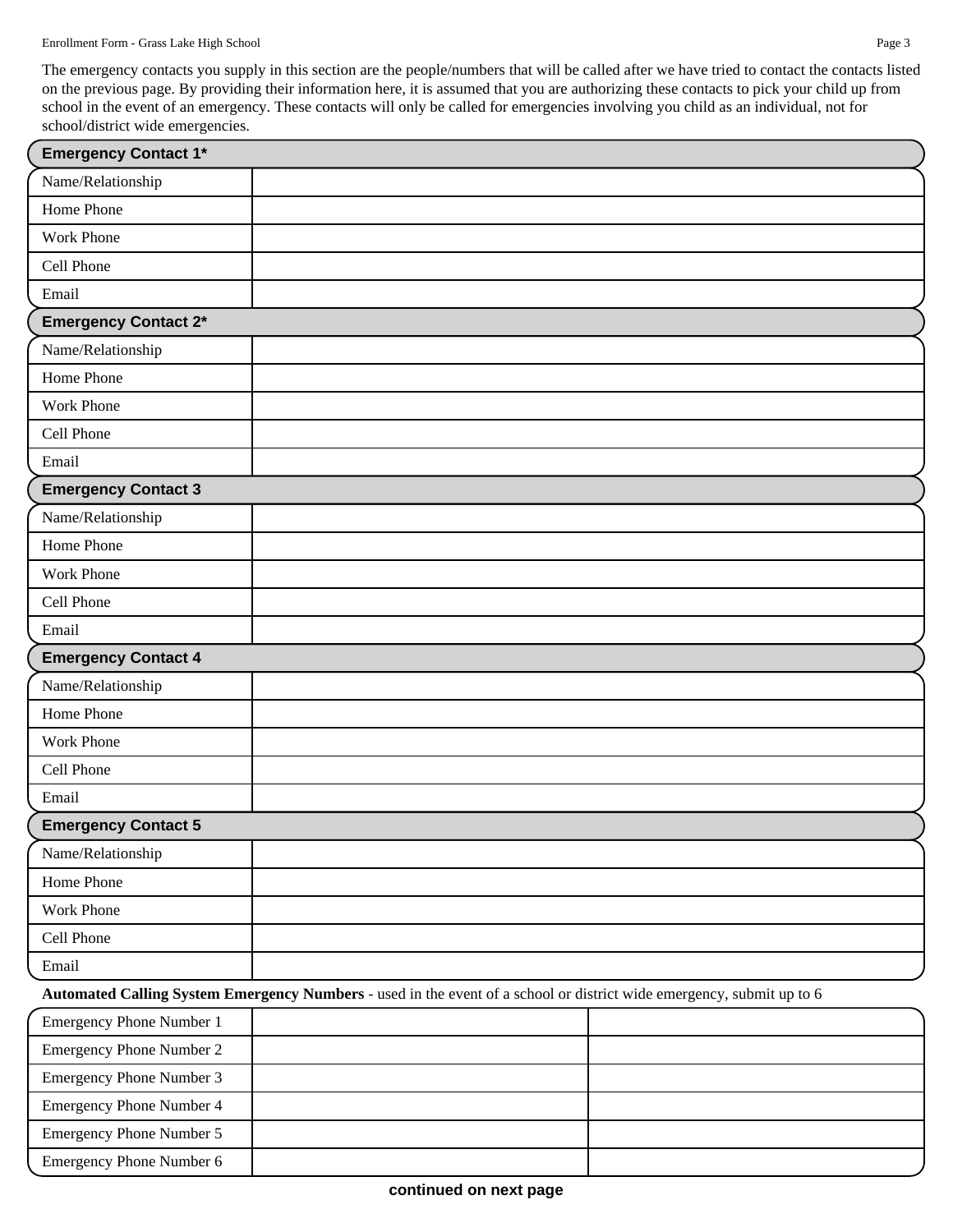The emergency contacts you supply in this section are the people/numbers that will be called after we have tried to contact the contacts listed on the previous page. By providing their information here, it is assumed that you are authorizing these contacts to pick your child up from school in the event of an emergency. These contacts will only be called for emergencies involving you child as an individual, not for school/district wide emergencies.

| <b>Emergency Contact 1*</b>     |                                                                                                                       |  |
|---------------------------------|-----------------------------------------------------------------------------------------------------------------------|--|
| Name/Relationship               |                                                                                                                       |  |
| Home Phone                      |                                                                                                                       |  |
| <b>Work Phone</b>               |                                                                                                                       |  |
| Cell Phone                      |                                                                                                                       |  |
| Email                           |                                                                                                                       |  |
| <b>Emergency Contact 2*</b>     |                                                                                                                       |  |
| Name/Relationship               |                                                                                                                       |  |
| Home Phone                      |                                                                                                                       |  |
| <b>Work Phone</b>               |                                                                                                                       |  |
| Cell Phone                      |                                                                                                                       |  |
| Email                           |                                                                                                                       |  |
| <b>Emergency Contact 3</b>      |                                                                                                                       |  |
| Name/Relationship               |                                                                                                                       |  |
| Home Phone                      |                                                                                                                       |  |
| Work Phone                      |                                                                                                                       |  |
| Cell Phone                      |                                                                                                                       |  |
| Email                           |                                                                                                                       |  |
| <b>Emergency Contact 4</b>      |                                                                                                                       |  |
| Name/Relationship               |                                                                                                                       |  |
| Home Phone                      |                                                                                                                       |  |
| Work Phone                      |                                                                                                                       |  |
| Cell Phone                      |                                                                                                                       |  |
| Email                           |                                                                                                                       |  |
| <b>Emergency Contact 5</b>      |                                                                                                                       |  |
| Name/Relationship               |                                                                                                                       |  |
| Home Phone                      |                                                                                                                       |  |
| Work Phone                      |                                                                                                                       |  |
| Cell Phone                      |                                                                                                                       |  |
| Email                           |                                                                                                                       |  |
|                                 | Automated Calling System Emergency Numbers - used in the event of a school or district wide emergency, submit up to 6 |  |
| <b>Emergency Phone Number 1</b> |                                                                                                                       |  |
| <b>Emergency Phone Number 2</b> |                                                                                                                       |  |
| Emergency Phone Number 3        |                                                                                                                       |  |
| <b>Emergency Phone Number 4</b> |                                                                                                                       |  |
| <b>Emergency Phone Number 5</b> |                                                                                                                       |  |
| Emergency Phone Number 6        |                                                                                                                       |  |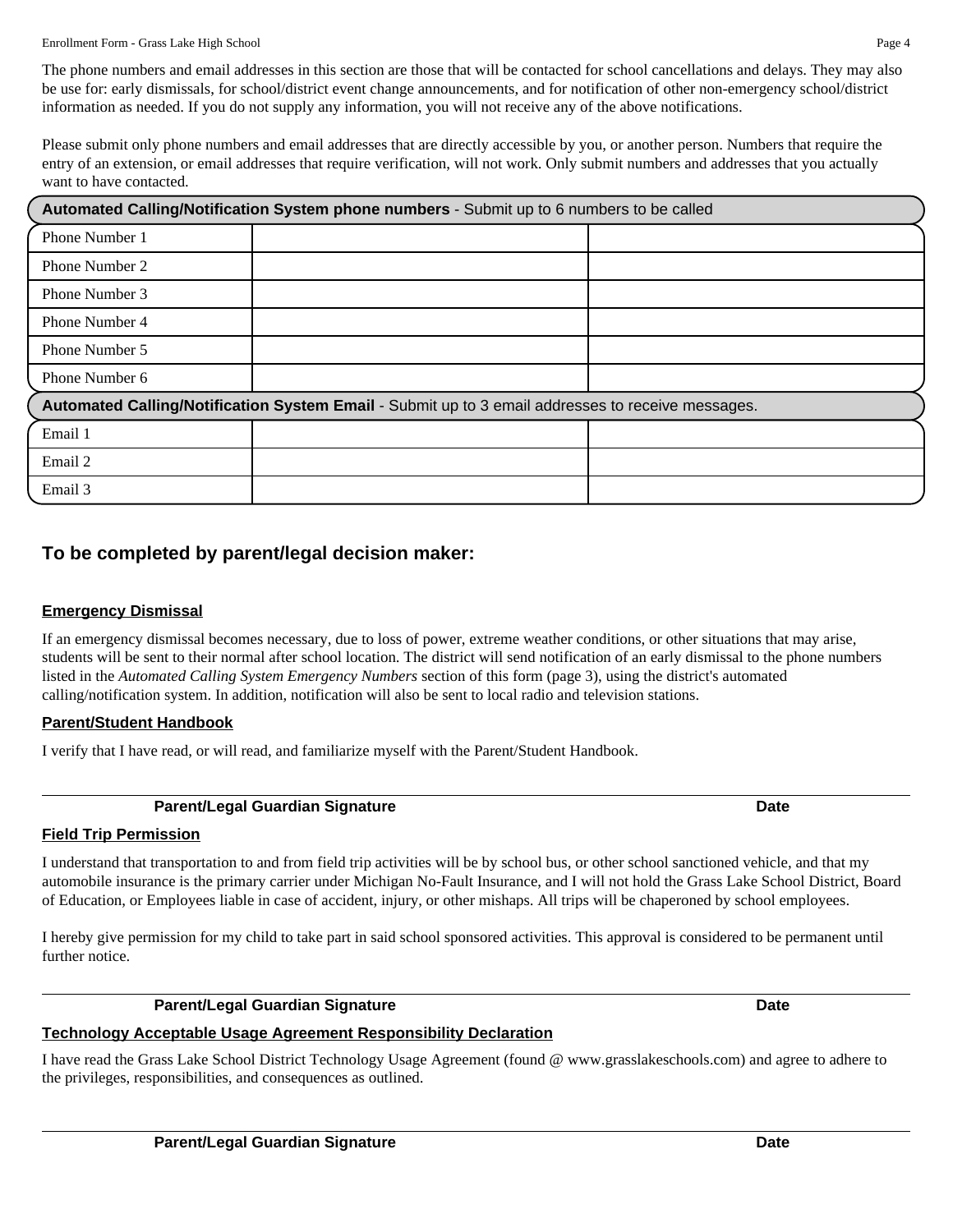The phone numbers and email addresses in this section are those that will be contacted for school cancellations and delays. They may also be use for: early dismissals, for school/district event change announcements, and for notification of other non-emergency school/district information as needed. If you do not supply any information, you will not receive any of the above notifications.

Please submit only phone numbers and email addresses that are directly accessible by you, or another person. Numbers that require the entry of an extension, or email addresses that require verification, will not work. Only submit numbers and addresses that you actually want to have contacted.

| Automated Calling/Notification System phone numbers - Submit up to 6 numbers to be called         |  |  |  |  |
|---------------------------------------------------------------------------------------------------|--|--|--|--|
| Phone Number 1                                                                                    |  |  |  |  |
| Phone Number 2                                                                                    |  |  |  |  |
| Phone Number 3                                                                                    |  |  |  |  |
| Phone Number 4                                                                                    |  |  |  |  |
| Phone Number 5                                                                                    |  |  |  |  |
| Phone Number 6                                                                                    |  |  |  |  |
| Automated Calling/Notification System Email - Submit up to 3 email addresses to receive messages. |  |  |  |  |
| Email 1                                                                                           |  |  |  |  |
| Email 2                                                                                           |  |  |  |  |
| Email 3                                                                                           |  |  |  |  |

## **To be completed by parent/legal decision maker:**

#### **Emergency Dismissal**

If an emergency dismissal becomes necessary, due to loss of power, extreme weather conditions, or other situations that may arise, students will be sent to their normal after school location. The district will send notification of an early dismissal to the phone numbers listed in the *Automated Calling System Emergency Numbers* section of this form (page 3), using the district's automated calling/notification system. In addition, notification will also be sent to local radio and television stations.

#### **Parent/Student Handbook**

I verify that I have read, or will read, and familiarize myself with the Parent/Student Handbook.

#### **Parent/Legal Guardian Signature Date**

#### **Field Trip Permission**

I understand that transportation to and from field trip activities will be by school bus, or other school sanctioned vehicle, and that my automobile insurance is the primary carrier under Michigan No-Fault Insurance, and I will not hold the Grass Lake School District, Board of Education, or Employees liable in case of accident, injury, or other mishaps. All trips will be chaperoned by school employees.

I hereby give permission for my child to take part in said school sponsored activities. This approval is considered to be permanent until further notice.

#### **Parent/Legal Guardian Signature Date**

## **Technology Acceptable Usage Agreement Responsibility Declaration**

I have read the Grass Lake School District Technology Usage Agreement (found @ www.grasslakeschools.com) and agree to adhere to the privileges, responsibilities, and consequences as outlined.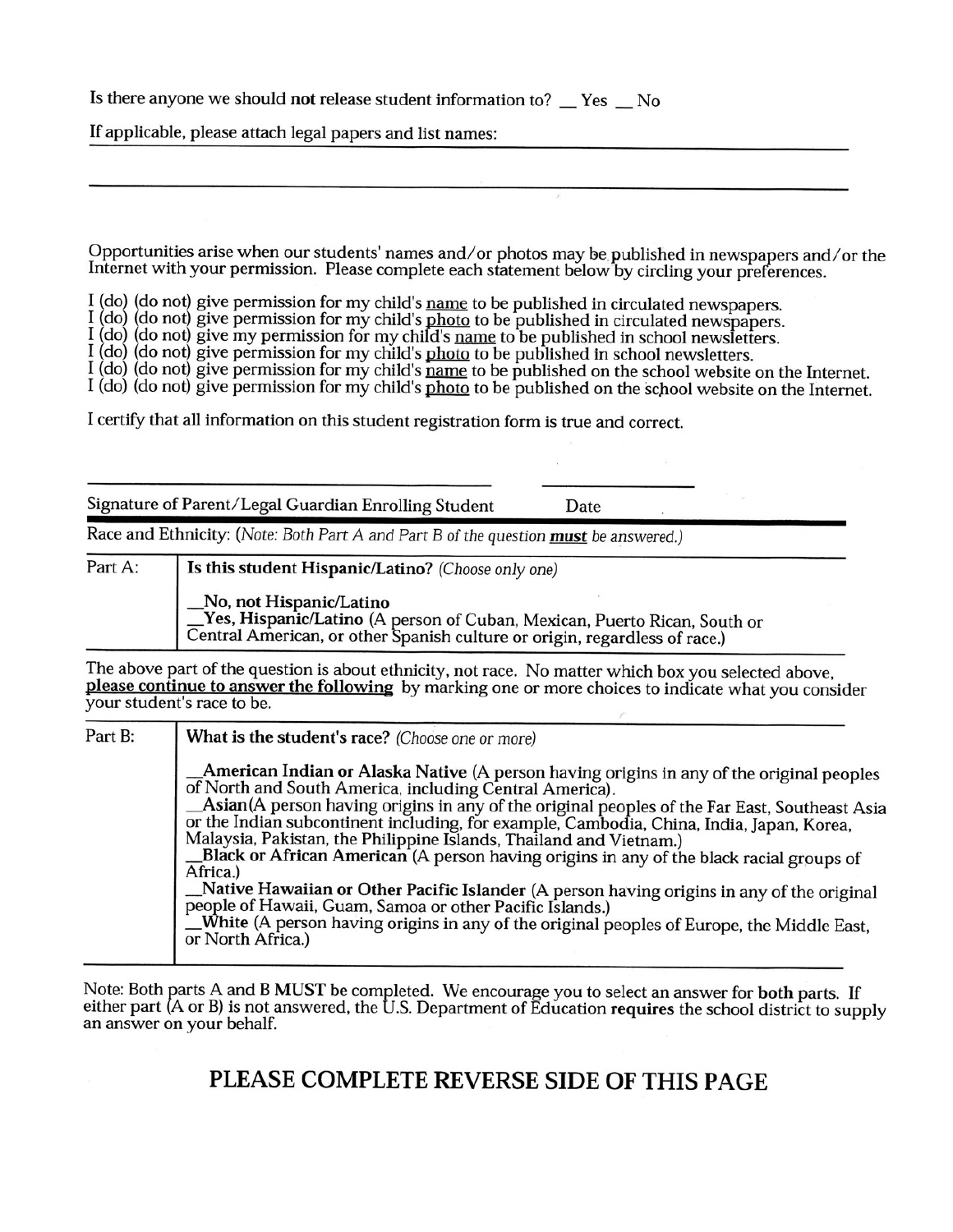Is there anyone we should not release student information to? \_Yes \_No

If applicable, please attach legal papers and list names:

Opportunities arise when our students' names and/or photos may be published in newspapers and/or the Internet with your permission. Please complete each statement below by circling your preferences.

I (do) (do not) give permission for my child's name to be published in circulated newspapers.

I (do) (do not) give permission for my child's photo to be published in circulated newspapers.<br>I (do) (do not) give my permission for my child's <u>name</u> to be published in school newsletters.

I (do) (do not) give permission for my child's photo to be published in school newsletters.

I (do) (do not) give permission for my child's name to be published on the school website on the Internet.

I (do) (do not) give permission for my child's photo to be published on the school website on the Internet.

I certify that all information on this student registration form is true and correct.

Signature of Parent/Legal Guardian Enrolling Student

Race and Ethnicity: (Note: Both Part A and Part B of the question must be answered.)

Part A:

Is this student Hispanic/Latino? (Choose only one)

No, not Hispanic/Latino Yes, Hispanic/Latino (A person of Cuban, Mexican, Puerto Rican, South or Central American, or other Spanish culture or origin, regardless of race.)

Date

The above part of the question is about ethnicity, not race. No matter which box you selected above, please continue to answer the following by marking one or more choices to indicate what you consider your student's race to be.

| Part B: | What is the student's race? (Choose one or more)                                                                                                                                                                                                                                                                                                                                                                                                                                                                               |
|---------|--------------------------------------------------------------------------------------------------------------------------------------------------------------------------------------------------------------------------------------------------------------------------------------------------------------------------------------------------------------------------------------------------------------------------------------------------------------------------------------------------------------------------------|
|         | _American Indian or Alaska Native (A person having origins in any of the original peoples<br>of North and South America, including Central America).<br>_Asian(A person having origins in any of the original peoples of the Far East, Southeast Asia<br>or the Indian subcontinent including, for example, Cambodia, China, India, Japan, Korea,<br>Malaysia, Pakistan, the Philippine Islands, Thailand and Vietnam.)<br>Black or African American (A person having origins in any of the black racial groups of<br>Africa.) |
|         | Native Hawaiian or Other Pacific Islander (A person having origins in any of the original<br>people of Hawaii, Guam, Samoa or other Pacific Islands.)<br>White (A person having origins in any of the original peoples of Europe, the Middle East,<br>or North Africa.)                                                                                                                                                                                                                                                        |

Note: Both parts A and B MUST be completed. We encourage you to select an answer for both parts. If either part (A or B) is not answered, the U.S. Department of Education requires the school district to supply an answer on your behalf.

## PLEASE COMPLETE REVERSE SIDE OF THIS PAGE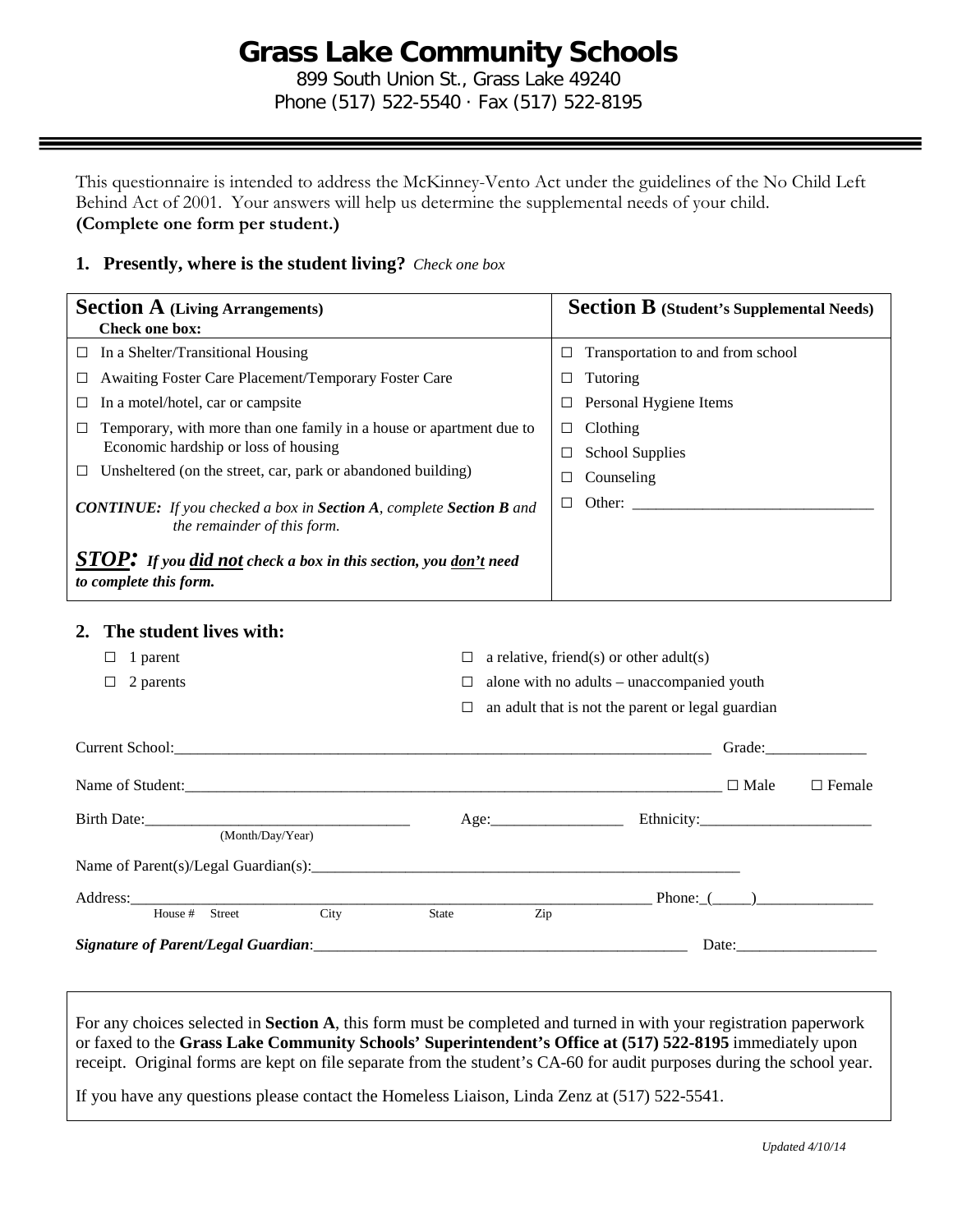# **Grass Lake Community Schools**

899 South Union St., Grass Lake 49240 Phone (517) 522-5540 · Fax (517) 522-8195

This questionnaire is intended to address the McKinney-Vento Act under the guidelines of the No Child Left Behind Act of 2001. Your answers will help us determine the supplemental needs of your child. **(Complete one form per student.)**

## **1. Presently, where is the student living?** *Check one box*

| <b>Section A</b> (Living Arrangements)<br><b>Check one box:</b>                                                 | <b>Section B</b> (Student's Supplemental Needs) |
|-----------------------------------------------------------------------------------------------------------------|-------------------------------------------------|
| In a Shelter/Transitional Housing                                                                               | Transportation to and from school               |
| $\Box$                                                                                                          | $\Box$                                          |
| <b>Awaiting Foster Care Placement/Temporary Foster Care</b>                                                     | Tutoring                                        |
| $\Box$                                                                                                          | $\Box$                                          |
| In a motel/hotel, car or campsite                                                                               | Personal Hygiene Items                          |
| $\Box$                                                                                                          | $\Box$                                          |
| Temporary, with more than one family in a house or apartment due to                                             | Clothing                                        |
| Ц                                                                                                               | □                                               |
| Economic hardship or loss of housing                                                                            | <b>School Supplies</b><br>$\Box$                |
| Unsheltered (on the street, car, park or abandoned building)                                                    | Counseling                                      |
| $\Box$                                                                                                          | □                                               |
| <b>CONTINUE:</b> If you checked a box in <b>Section A</b> , complete <b>Section B</b> and                       | Other:                                          |
| the remainder of this form.                                                                                     | $\Box$                                          |
| <b>STOP:</b> If you <i>did not</i> check a box in this section, you <u>don't</u> need<br>to complete this form. |                                                 |

#### **2. The student lives with:**

| 1 parent<br>ப                                        | a relative, friend(s) or other adult(s)<br>alone with no adults - unaccompanied youth<br>□ |                                                   |                 |               |
|------------------------------------------------------|--------------------------------------------------------------------------------------------|---------------------------------------------------|-----------------|---------------|
| 2 parents<br>$\Box$                                  |                                                                                            |                                                   |                 |               |
|                                                      | $\Box$                                                                                     | an adult that is not the parent or legal guardian |                 |               |
| Current School: <u>Current School</u>                |                                                                                            |                                                   | Grade:          |               |
|                                                      |                                                                                            |                                                   | $\square$ Male  | $\Box$ Female |
| (Month/Day/Year)                                     |                                                                                            | Age:                                              |                 |               |
| Name of Parent(s)/Legal Guardian(s): $\qquad \qquad$ |                                                                                            |                                                   |                 |               |
|                                                      |                                                                                            |                                                   | Phone: $(\_\_)$ |               |
| House # Street<br>City                               | <b>State</b>                                                                               | Zip                                               |                 |               |
|                                                      |                                                                                            |                                                   |                 |               |

For any choices selected in **Section A**, this form must be completed and turned in with your registration paperwork or faxed to the **Grass Lake Community Schools' Superintendent's Office at (517) 522-8195** immediately upon receipt. Original forms are kept on file separate from the student's CA-60 for audit purposes during the school year.

If you have any questions please contact the Homeless Liaison, Linda Zenz at (517) 522-5541.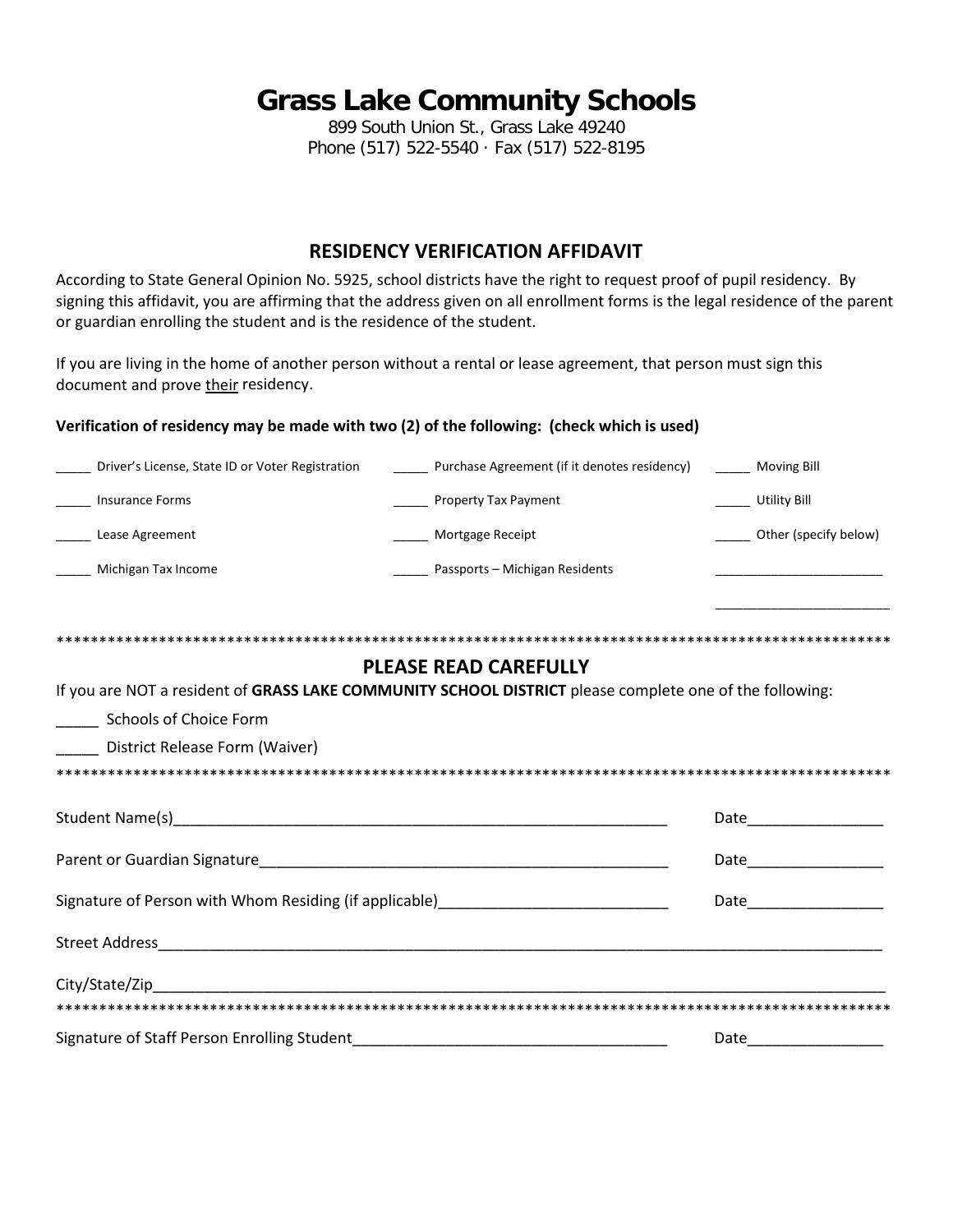## **Grass Lake Community Schools**

899 South Union St., Grass Lake 49240 Phone (517) 522-5540 · Fax (517) 522-8195

## **RESIDENCY VERIFICATION AFFIDAVIT**

According to State General Opinion No. 5925, school districts have the right to request proof of pupil residency. By signing this affidavit, you are affirming that the address given on all enrollment forms is the legal residence of the parent or guardian enrolling the student and is the residence of the student.

If you are living in the home of another person without a rental or lease agreement, that person must sign this document and prove their residency.

### **Verification of residency may be made with two (2) of the following: (check which is used)**

| Driver's License, State ID or Voter Registration                                                        | ______ Purchase Agreement (if it denotes residency) | ______ Moving Bill      |  |  |
|---------------------------------------------------------------------------------------------------------|-----------------------------------------------------|-------------------------|--|--|
| <b>Insurance Forms</b>                                                                                  | _______ Property Tax Payment                        | Utility Bill            |  |  |
| _______ Lease Agreement                                                                                 | _______ Mortgage Receipt                            | Other (specify below)   |  |  |
| ______ Michigan Tax Income                                                                              | Passports – Michigan Residents                      |                         |  |  |
|                                                                                                         |                                                     |                         |  |  |
|                                                                                                         |                                                     |                         |  |  |
|                                                                                                         | <b>PLEASE READ CAREFULLY</b>                        |                         |  |  |
| If you are NOT a resident of GRASS LAKE COMMUNITY SCHOOL DISTRICT please complete one of the following: |                                                     |                         |  |  |
| Schools of Choice Form                                                                                  |                                                     |                         |  |  |
| District Release Form (Waiver)                                                                          |                                                     |                         |  |  |
|                                                                                                         |                                                     |                         |  |  |
|                                                                                                         |                                                     |                         |  |  |
|                                                                                                         |                                                     | Date___________________ |  |  |
|                                                                                                         |                                                     |                         |  |  |
| Signature of Person with Whom Residing (if applicable)__________________________                        |                                                     |                         |  |  |
|                                                                                                         |                                                     |                         |  |  |

| Signature of Staff Person Enrolling Student |  |
|---------------------------------------------|--|
|                                             |  |

\*\*\*\*\*\*\*\*\*\*\*\*\*\*\*\*\*\*\*\*\*\*\*\*\*\*\*\*\*\*\*\*\*\*\*\*\*\*\*\*\*\*\*\*\*\*\*\*\*\*\*\*\*\*\*\*\*\*\*\*\*\*\*\*\*\*\*\*\*\*\*\*\*\*\*\*\*\*\*\*\*\*\*\*\*\*\*\*\*\*\*\*\*\*\*\*\*\*

City/State/Zip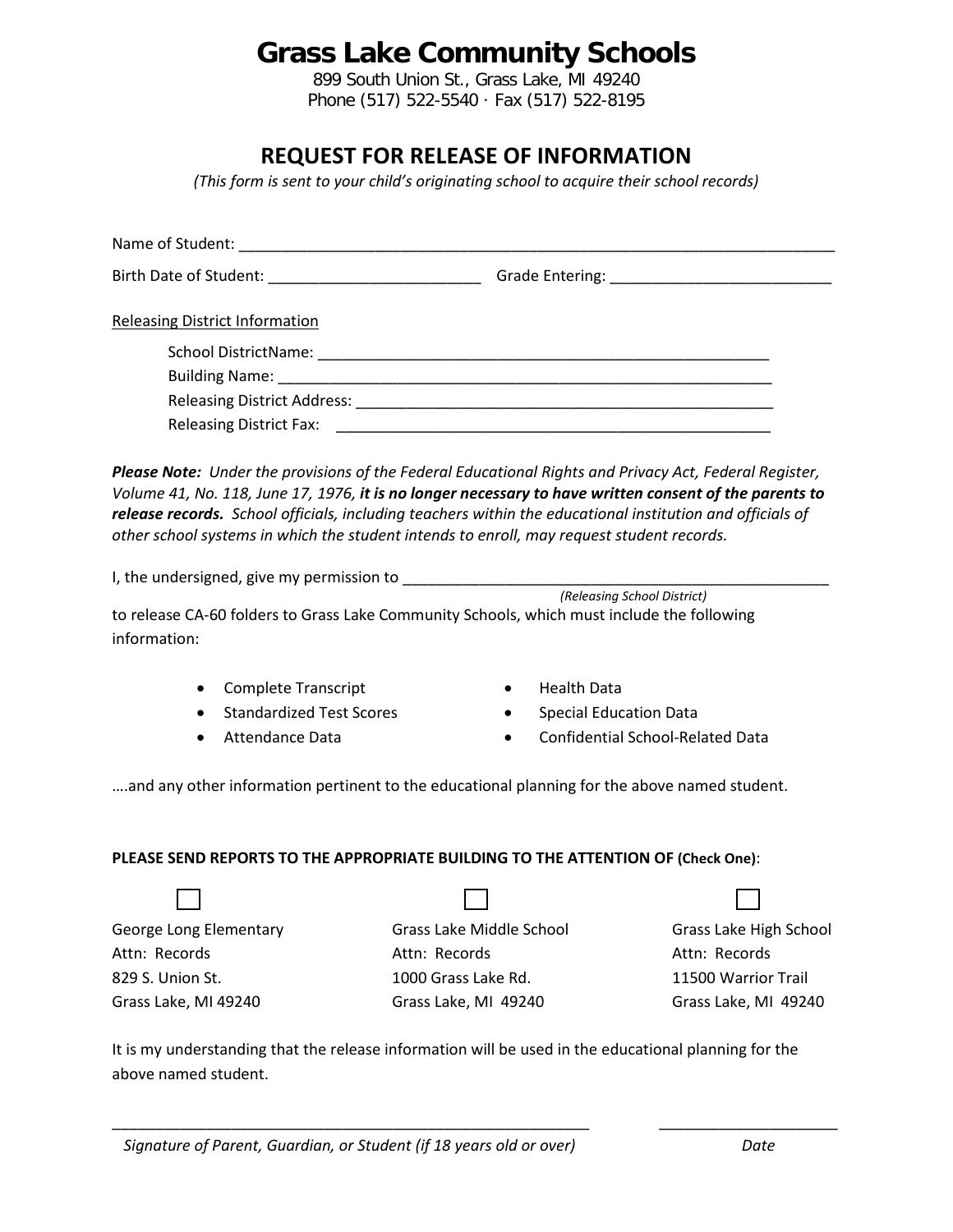# **Grass Lake Community Schools**

899 South Union St., Grass Lake, MI 49240 Phone (517) 522-5540 · Fax (517) 522-8195

## **REQUEST FOR RELEASE OF INFORMATION**

*(This form is sent to your child's originating school to acquire their school records)*

| <b>Releasing District Information</b>                                                                                                                                                                                                                                                                                                                                                                                                                                                                                                    |                                                                                          |                                                                                        |
|------------------------------------------------------------------------------------------------------------------------------------------------------------------------------------------------------------------------------------------------------------------------------------------------------------------------------------------------------------------------------------------------------------------------------------------------------------------------------------------------------------------------------------------|------------------------------------------------------------------------------------------|----------------------------------------------------------------------------------------|
| Please Note: Under the provisions of the Federal Educational Rights and Privacy Act, Federal Register,<br>Volume 41, No. 118, June 17, 1976, it is no longer necessary to have written consent of the parents to<br>release records. School officials, including teachers within the educational institution and officials of<br>other school systems in which the student intends to enroll, may request student records.<br>to release CA-60 folders to Grass Lake Community Schools, which must include the following<br>information: | (Releasing School District)                                                              |                                                                                        |
| <b>Complete Transcript</b><br>٠<br><b>Standardized Test Scores</b><br>Attendance Data<br>and any other information pertinent to the educational planning for the above named student.                                                                                                                                                                                                                                                                                                                                                    | <b>Health Data</b><br><b>Special Education Data</b><br>$\bullet$<br>$\bullet$            | <b>Confidential School-Related Data</b>                                                |
| PLEASE SEND REPORTS TO THE APPROPRIATE BUILDING TO THE ATTENTION OF (Check One):                                                                                                                                                                                                                                                                                                                                                                                                                                                         |                                                                                          |                                                                                        |
|                                                                                                                                                                                                                                                                                                                                                                                                                                                                                                                                          |                                                                                          |                                                                                        |
| George Long Elementary<br>Attn: Records<br>829 S. Union St.<br>Grass Lake, MI 49240                                                                                                                                                                                                                                                                                                                                                                                                                                                      | Grass Lake Middle School<br>Attn: Records<br>1000 Grass Lake Rd.<br>Grass Lake, MI 49240 | Grass Lake High School<br>Attn: Records<br>11500 Warrior Trail<br>Grass Lake, MI 49240 |
| It is my understanding that the release information will be used in the educational planning for the                                                                                                                                                                                                                                                                                                                                                                                                                                     |                                                                                          |                                                                                        |

above named student.

\_\_\_\_\_\_\_\_\_\_\_\_\_\_\_\_\_\_\_\_\_\_\_\_\_\_\_\_\_\_\_\_\_\_\_\_\_\_\_\_\_\_\_\_\_\_\_\_\_\_\_\_\_\_\_\_ \_\_\_\_\_\_\_\_\_\_\_\_\_\_\_\_\_\_\_\_\_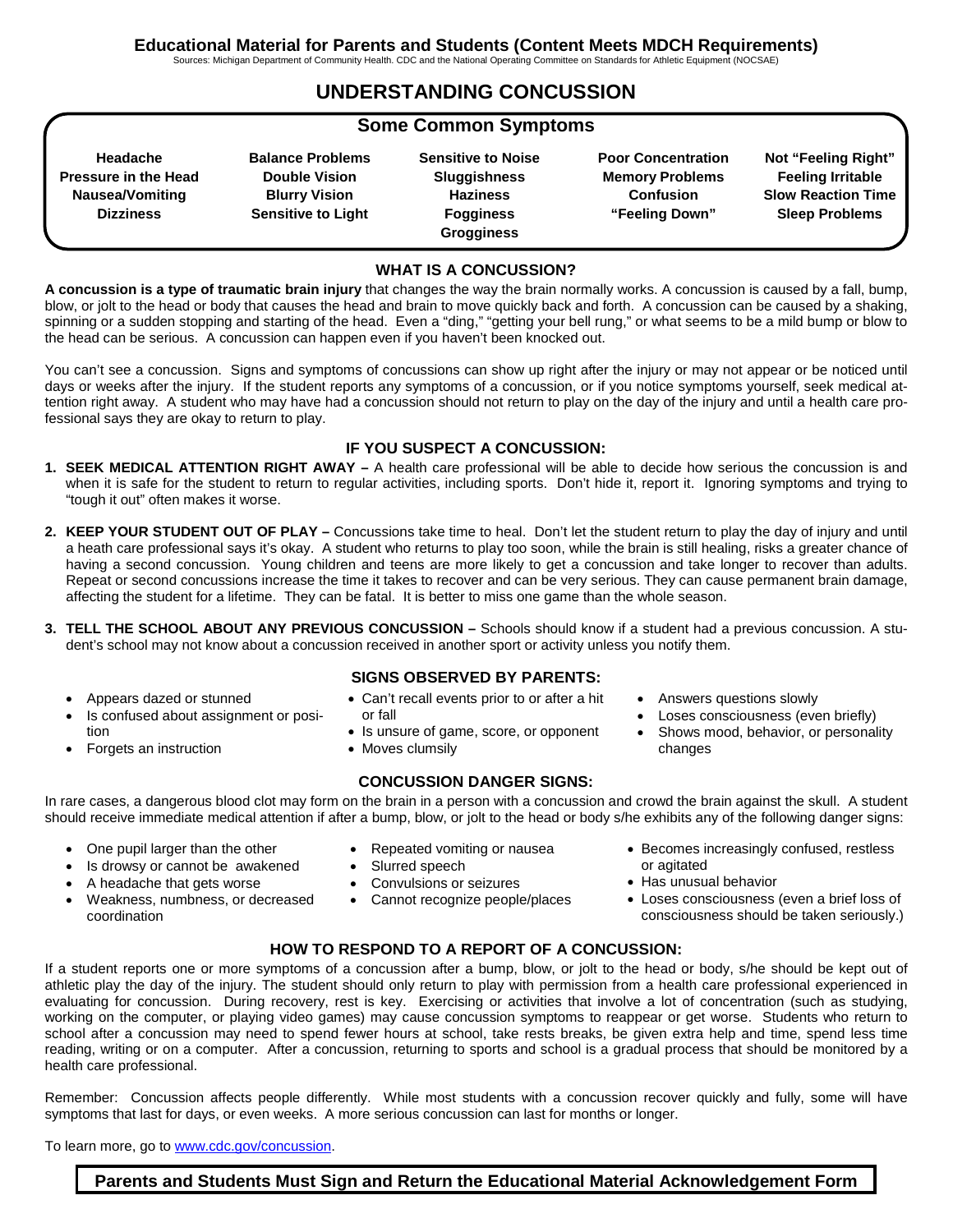Sources: Michigan Department of Community Health. CDC and the National Operating Committee on Standards for Athletic Equipment (NOCSAE)

## **UNDERSTANDING CONCUSSION**

## **Some Common Symptoms**

**Headache Pressure in the Head Nausea/Vomiting Dizziness**

**Balance Problems Double Vision Blurry Vision Sensitive to Light**

**Sensitive to Noise Sluggishness Haziness Fogginess Grogginess**

**Poor Concentration Memory Problems Confusion "Feeling Down"**

**Not "Feeling Right" Feeling Irritable Slow Reaction Time Sleep Problems**

### **WHAT IS A CONCUSSION?**

**A concussion is a type of traumatic brain injury** that changes the way the brain normally works. A concussion is caused by a fall, bump, blow, or jolt to the head or body that causes the head and brain to move quickly back and forth. A concussion can be caused by a shaking, spinning or a sudden stopping and starting of the head. Even a "ding," "getting your bell rung," or what seems to be a mild bump or blow to the head can be serious. A concussion can happen even if you haven't been knocked out.

You can't see a concussion. Signs and symptoms of concussions can show up right after the injury or may not appear or be noticed until days or weeks after the injury. If the student reports any symptoms of a concussion, or if you notice symptoms yourself, seek medical attention right away. A student who may have had a concussion should not return to play on the day of the injury and until a health care professional says they are okay to return to play.

### **IF YOU SUSPECT A CONCUSSION:**

- **1. SEEK MEDICAL ATTENTION RIGHT AWAY** A health care professional will be able to decide how serious the concussion is and when it is safe for the student to return to regular activities, including sports. Don't hide it, report it. Ignoring symptoms and trying to "tough it out" often makes it worse.
- **2. KEEP YOUR STUDENT OUT OF PLAY** Concussions take time to heal. Don't let the student return to play the day of injury and until a heath care professional says it's okay. A student who returns to play too soon, while the brain is still healing, risks a greater chance of having a second concussion. Young children and teens are more likely to get a concussion and take longer to recover than adults. Repeat or second concussions increase the time it takes to recover and can be very serious. They can cause permanent brain damage, affecting the student for a lifetime. They can be fatal. It is better to miss one game than the whole season.
- **3. TELL THE SCHOOL ABOUT ANY PREVIOUS CONCUSSION** Schools should know if a student had a previous concussion. A student's school may not know about a concussion received in another sport or activity unless you notify them.
	- Appears dazed or stunned
	- Is confused about assignment or position
	- Forgets an instruction
- **SIGNS OBSERVED BY PARENTS:**
- Can't recall events prior to or after a hit or fall
- Is unsure of game, score, or opponent
- Moves clumsily

### **CONCUSSION DANGER SIGNS:**

In rare cases, a dangerous blood clot may form on the brain in a person with a concussion and crowd the brain against the skull. A student should receive immediate medical attention if after a bump, blow, or jolt to the head or body s/he exhibits any of the following danger signs:

- One pupil larger than the other
- Repeated vomiting or nausea Slurred speech
	- Convulsions or seizures
	- Cannot recognize people/places
- Answers questions slowly
- Loses consciousness (even briefly)
- Shows mood, behavior, or personality changes

- - Is drowsy or cannot be awakened
- A headache that gets worse
- Weakness, numbness, or decreased coordination
- Becomes increasingly confused, restless or agitated
	- Has unusual behavior
	- Loses consciousness (even a brief loss of consciousness should be taken seriously.)

### **HOW TO RESPOND TO A REPORT OF A CONCUSSION:**

If a student reports one or more symptoms of a concussion after a bump, blow, or jolt to the head or body, s/he should be kept out of athletic play the day of the injury. The student should only return to play with permission from a health care professional experienced in evaluating for concussion. During recovery, rest is key. Exercising or activities that involve a lot of concentration (such as studying, working on the computer, or playing video games) may cause concussion symptoms to reappear or get worse. Students who return to school after a concussion may need to spend fewer hours at school, take rests breaks, be given extra help and time, spend less time reading, writing or on a computer. After a concussion, returning to sports and school is a gradual process that should be monitored by a health care professional.

Remember: Concussion affects people differently. While most students with a concussion recover quickly and fully, some will have symptoms that last for days, or even weeks. A more serious concussion can last for months or longer.

To learn more, go to [www.cdc.gov/concussion.](http://www.cdc.gov/concussion)

**Parents and Students Must Sign and Return the Educational Material Acknowledgement Form**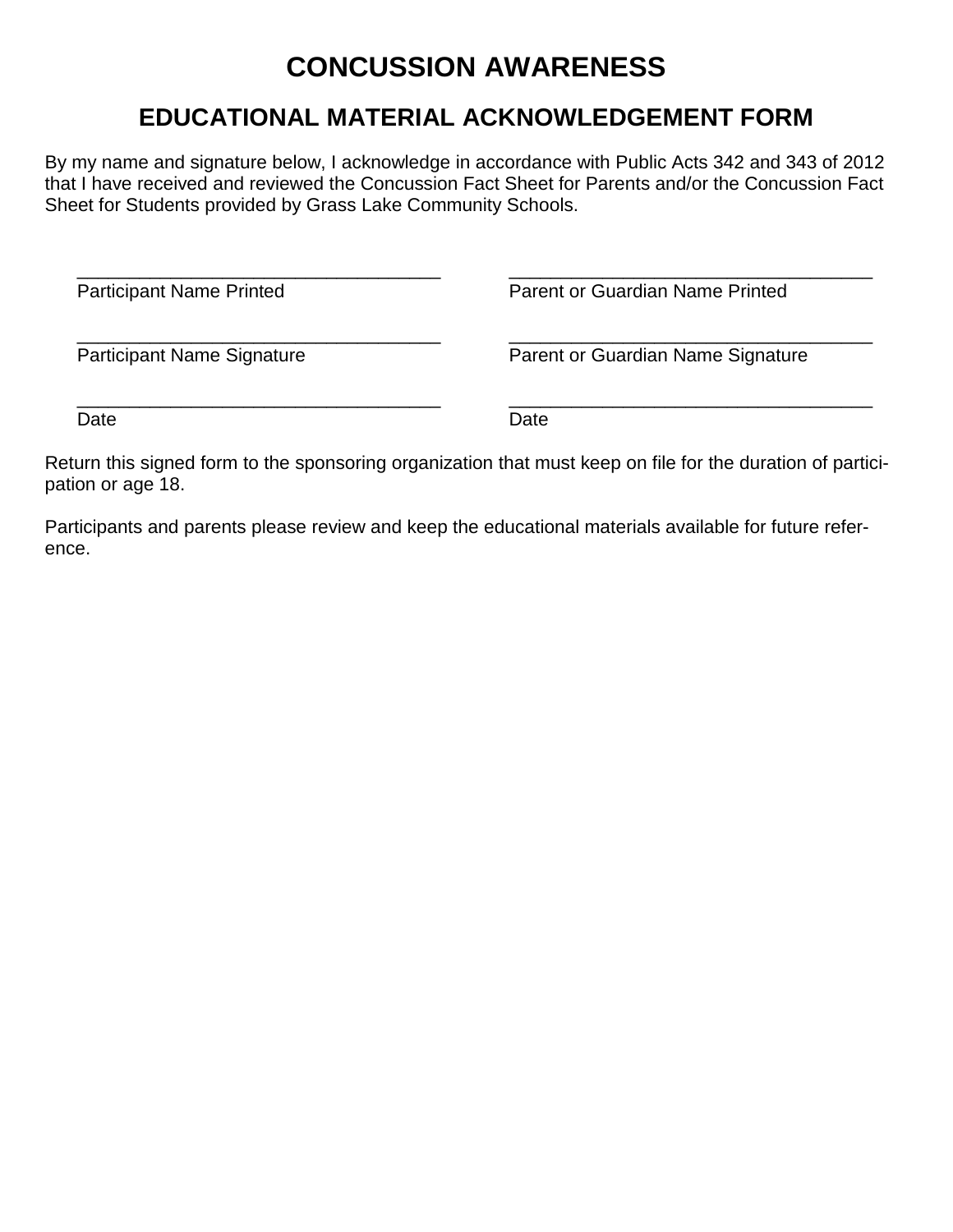# **CONCUSSION AWARENESS**

## **EDUCATIONAL MATERIAL ACKNOWLEDGEMENT FORM**

By my name and signature below, I acknowledge in accordance with Public Acts 342 and 343 of 2012 that I have received and reviewed the Concussion Fact Sheet for Parents and/or the Concussion Fact Sheet for Students provided by Grass Lake Community Schools.

\_\_\_\_\_\_\_\_\_\_\_\_\_\_\_\_\_\_\_\_\_\_\_\_\_\_\_\_\_\_\_\_\_\_\_ Participant Name Printed

\_\_\_\_\_\_\_\_\_\_\_\_\_\_\_\_\_\_\_\_\_\_\_\_\_\_\_\_\_\_\_\_\_\_\_ Parent or Guardian Name Printed

\_\_\_\_\_\_\_\_\_\_\_\_\_\_\_\_\_\_\_\_\_\_\_\_\_\_\_\_\_\_\_\_\_\_\_ Participant Name Signature

Date

\_\_\_\_\_\_\_\_\_\_\_\_\_\_\_\_\_\_\_\_\_\_\_\_\_\_\_\_\_\_\_\_\_\_\_

\_\_\_\_\_\_\_\_\_\_\_\_\_\_\_\_\_\_\_\_\_\_\_\_\_\_\_\_\_\_\_\_\_\_\_ Parent or Guardian Name Signature

\_\_\_\_\_\_\_\_\_\_\_\_\_\_\_\_\_\_\_\_\_\_\_\_\_\_\_\_\_\_\_\_\_\_\_ Date

Return this signed form to the sponsoring organization that must keep on file for the duration of participation or age 18.

Participants and parents please review and keep the educational materials available for future reference.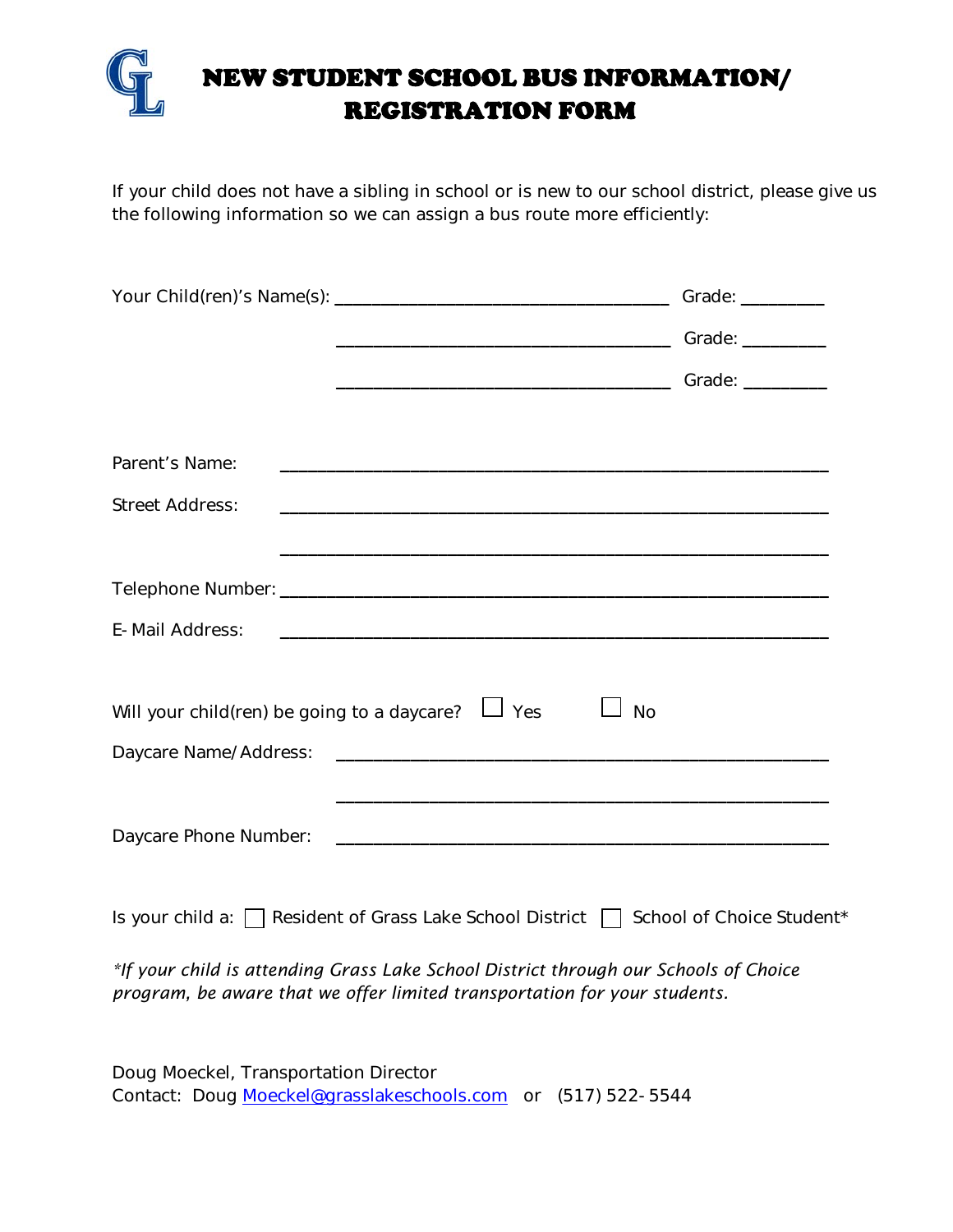

If your child does not have a sibling in school or is new to our school district, please give us the following information so we can assign a bus route more efficiently:

|                                                                        | Grade: $\frac{1}{2}$      |
|------------------------------------------------------------------------|---------------------------|
|                                                                        | Grade: _________          |
|                                                                        | Grade: ________           |
| Parent's Name:                                                         |                           |
|                                                                        |                           |
| <b>Street Address:</b>                                                 |                           |
|                                                                        |                           |
| E-Mail Address:                                                        |                           |
| Will your child(ren) be going to a daycare?<br>$\Box$ Yes              | <b>No</b>                 |
| Daycare Name/Address:                                                  |                           |
| Daycare Phone Number:                                                  |                           |
| Is your child $a: \ \cdot\ $<br>Resident of Grass Lake School District | School of Choice Student* |

*\*If your child is attending Grass Lake School District through our Schools of Choice program, be aware that we offer limited transportation for your students.* 

Doug Moeckel, Transportation Director Contact: [Doug](mailto:Doug.Moeckel@grasslakeschools.com) [Moeckel@grasslakeschools.com](mailto:Moeckel@grasslakeschools.com) or (517) 522-5544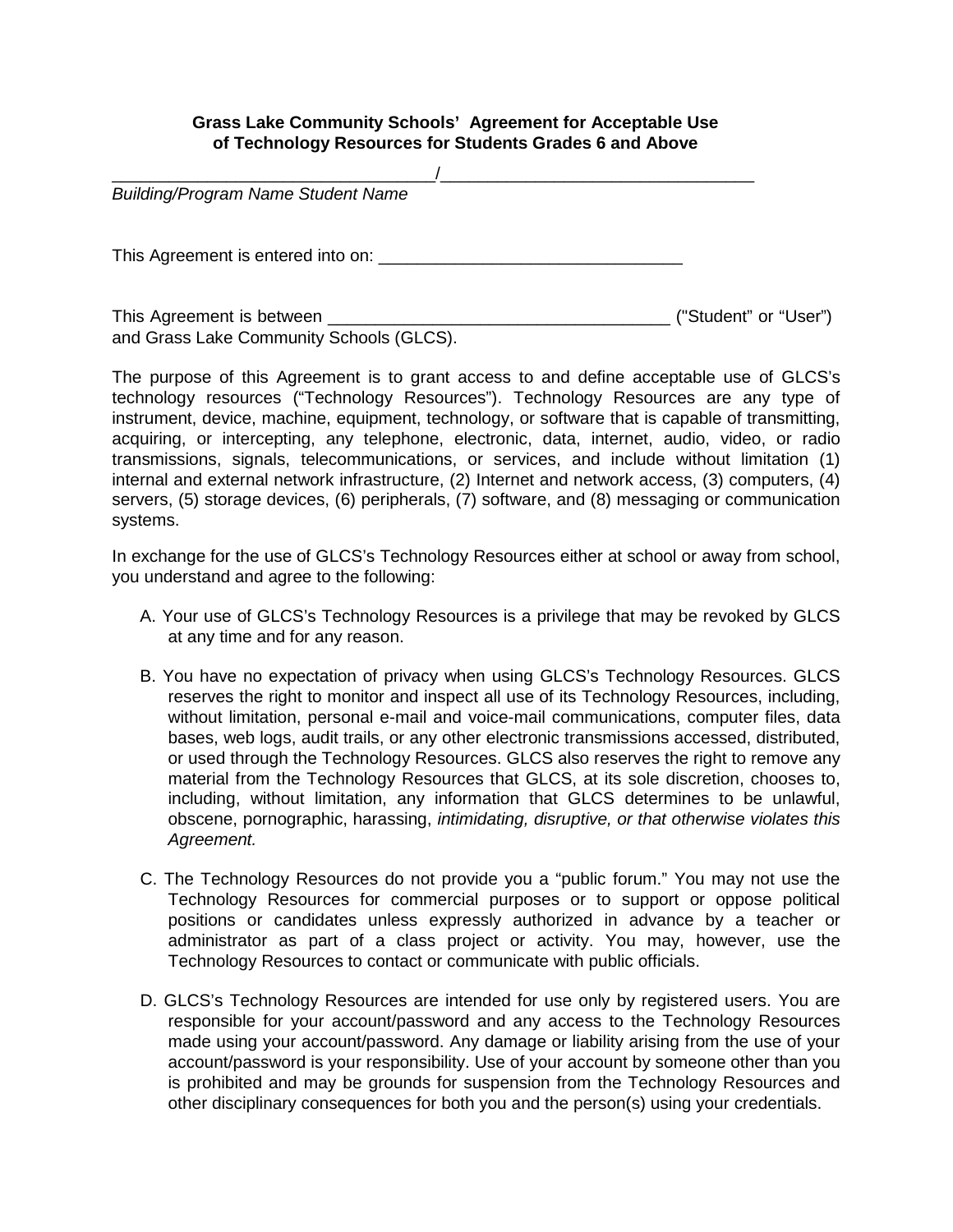## **Grass Lake Community Schools' Agreement for Acceptable Use of Technology Resources for Students Grades 6 and Above**

\_\_\_\_\_\_\_\_\_\_\_\_\_\_\_\_\_\_\_\_\_\_\_\_\_\_\_\_\_\_\_\_\_\_/\_\_\_\_\_\_\_\_\_\_\_\_\_\_\_\_\_\_\_\_\_\_\_\_\_\_\_\_\_\_\_\_\_ *Building/Program Name Student Name*  This Agreement is entered into on: \_\_\_\_\_\_\_\_\_\_\_\_\_\_\_\_\_\_\_\_\_\_\_\_\_\_\_\_\_\_\_\_ This Agreement is between \_\_\_\_\_\_\_\_\_\_\_\_\_\_\_\_\_\_\_\_\_\_\_\_\_\_\_\_\_\_\_\_\_\_\_\_ ("Student" or "User") and Grass Lake Community Schools (GLCS).

The purpose of this Agreement is to grant access to and define acceptable use of GLCS's technology resources ("Technology Resources"). Technology Resources are any type of instrument, device, machine, equipment, technology, or software that is capable of transmitting, acquiring, or intercepting, any telephone, electronic, data, internet, audio, video, or radio transmissions, signals, telecommunications, or services, and include without limitation (1) internal and external network infrastructure, (2) Internet and network access, (3) computers, (4) servers, (5) storage devices, (6) peripherals, (7) software, and (8) messaging or communication systems.

In exchange for the use of GLCS's Technology Resources either at school or away from school, you understand and agree to the following:

- A. Your use of GLCS's Technology Resources is a privilege that may be revoked by GLCS at any time and for any reason.
- B. You have no expectation of privacy when using GLCS's Technology Resources. GLCS reserves the right to monitor and inspect all use of its Technology Resources, including, without limitation, personal e-mail and voice-mail communications, computer files, data bases, web logs, audit trails, or any other electronic transmissions accessed, distributed, or used through the Technology Resources. GLCS also reserves the right to remove any material from the Technology Resources that GLCS, at its sole discretion, chooses to, including, without limitation, any information that GLCS determines to be unlawful, obscene, pornographic, harassing, *intimidating, disruptive, or that otherwise violates this Agreement.*
- C. The Technology Resources do not provide you a "public forum." You may not use the Technology Resources for commercial purposes or to support or oppose political positions or candidates unless expressly authorized in advance by a teacher or administrator as part of a class project or activity. You may, however, use the Technology Resources to contact or communicate with public officials.
- D. GLCS's Technology Resources are intended for use only by registered users. You are responsible for your account/password and any access to the Technology Resources made using your account/password. Any damage or liability arising from the use of your account/password is your responsibility. Use of your account by someone other than you is prohibited and may be grounds for suspension from the Technology Resources and other disciplinary consequences for both you and the person(s) using your credentials.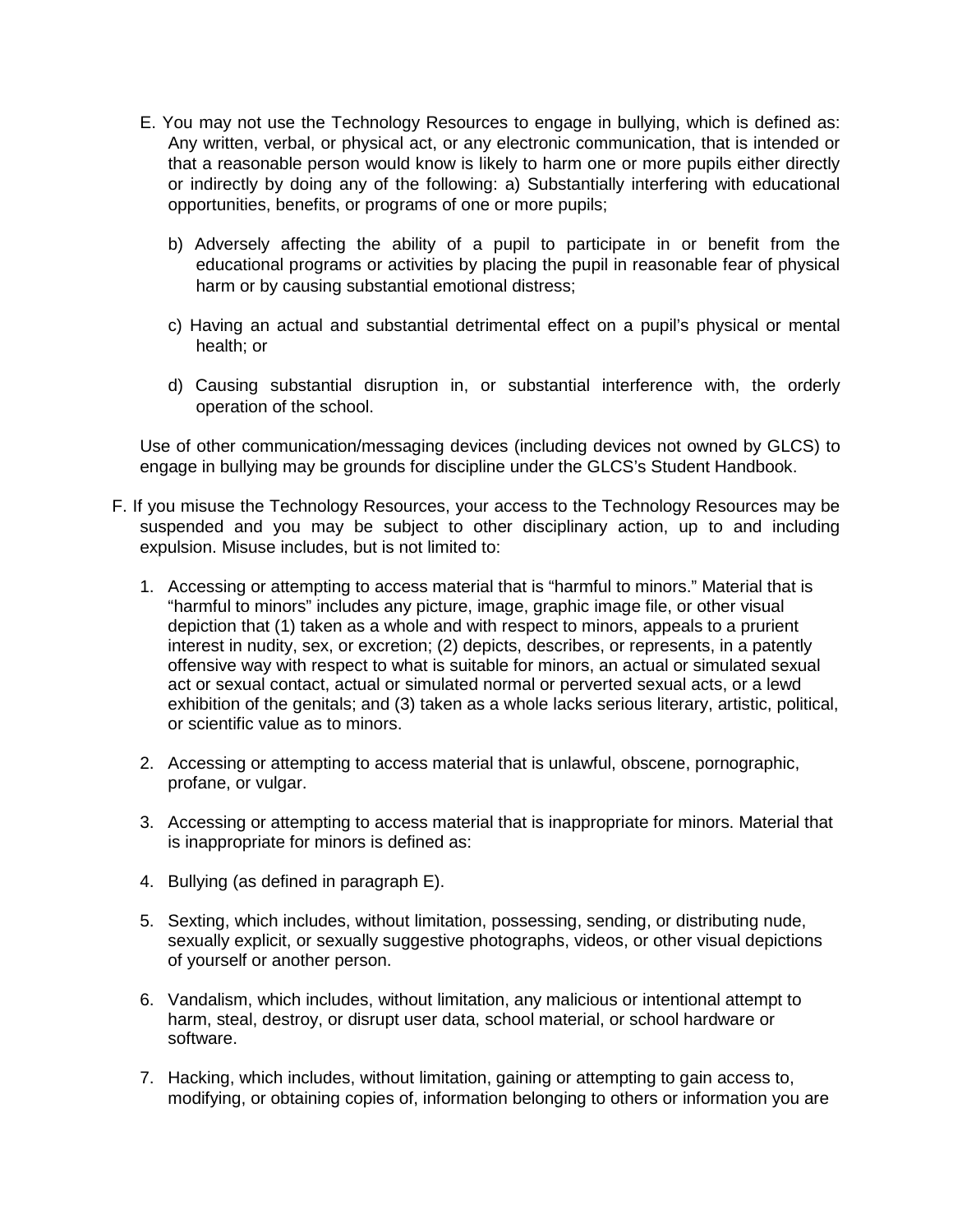- E. You may not use the Technology Resources to engage in bullying, which is defined as: Any written, verbal, or physical act, or any electronic communication, that is intended or that a reasonable person would know is likely to harm one or more pupils either directly or indirectly by doing any of the following: a) Substantially interfering with educational opportunities, benefits, or programs of one or more pupils;
	- b) Adversely affecting the ability of a pupil to participate in or benefit from the educational programs or activities by placing the pupil in reasonable fear of physical harm or by causing substantial emotional distress;
	- c) Having an actual and substantial detrimental effect on a pupil's physical or mental health; or
	- d) Causing substantial disruption in, or substantial interference with, the orderly operation of the school.

Use of other communication/messaging devices (including devices not owned by GLCS) to engage in bullying may be grounds for discipline under the GLCS's Student Handbook.

- F. If you misuse the Technology Resources, your access to the Technology Resources may be suspended and you may be subject to other disciplinary action, up to and including expulsion. Misuse includes, but is not limited to:
	- 1. Accessing or attempting to access material that is "harmful to minors." Material that is "harmful to minors" includes any picture, image, graphic image file, or other visual depiction that (1) taken as a whole and with respect to minors, appeals to a prurient interest in nudity, sex, or excretion; (2) depicts, describes, or represents, in a patently offensive way with respect to what is suitable for minors, an actual or simulated sexual act or sexual contact, actual or simulated normal or perverted sexual acts, or a lewd exhibition of the genitals; and (3) taken as a whole lacks serious literary, artistic, political, or scientific value as to minors.
	- 2. Accessing or attempting to access material that is unlawful, obscene, pornographic, profane, or vulgar.
	- 3. Accessing or attempting to access material that is inappropriate for minors. Material that is inappropriate for minors is defined as:
	- 4. Bullying (as defined in paragraph E).
	- 5. Sexting, which includes, without limitation, possessing, sending, or distributing nude, sexually explicit, or sexually suggestive photographs, videos, or other visual depictions of yourself or another person.
	- 6. Vandalism, which includes, without limitation, any malicious or intentional attempt to harm, steal, destroy, or disrupt user data, school material, or school hardware or software.
	- 7. Hacking, which includes, without limitation, gaining or attempting to gain access to, modifying, or obtaining copies of, information belonging to others or information you are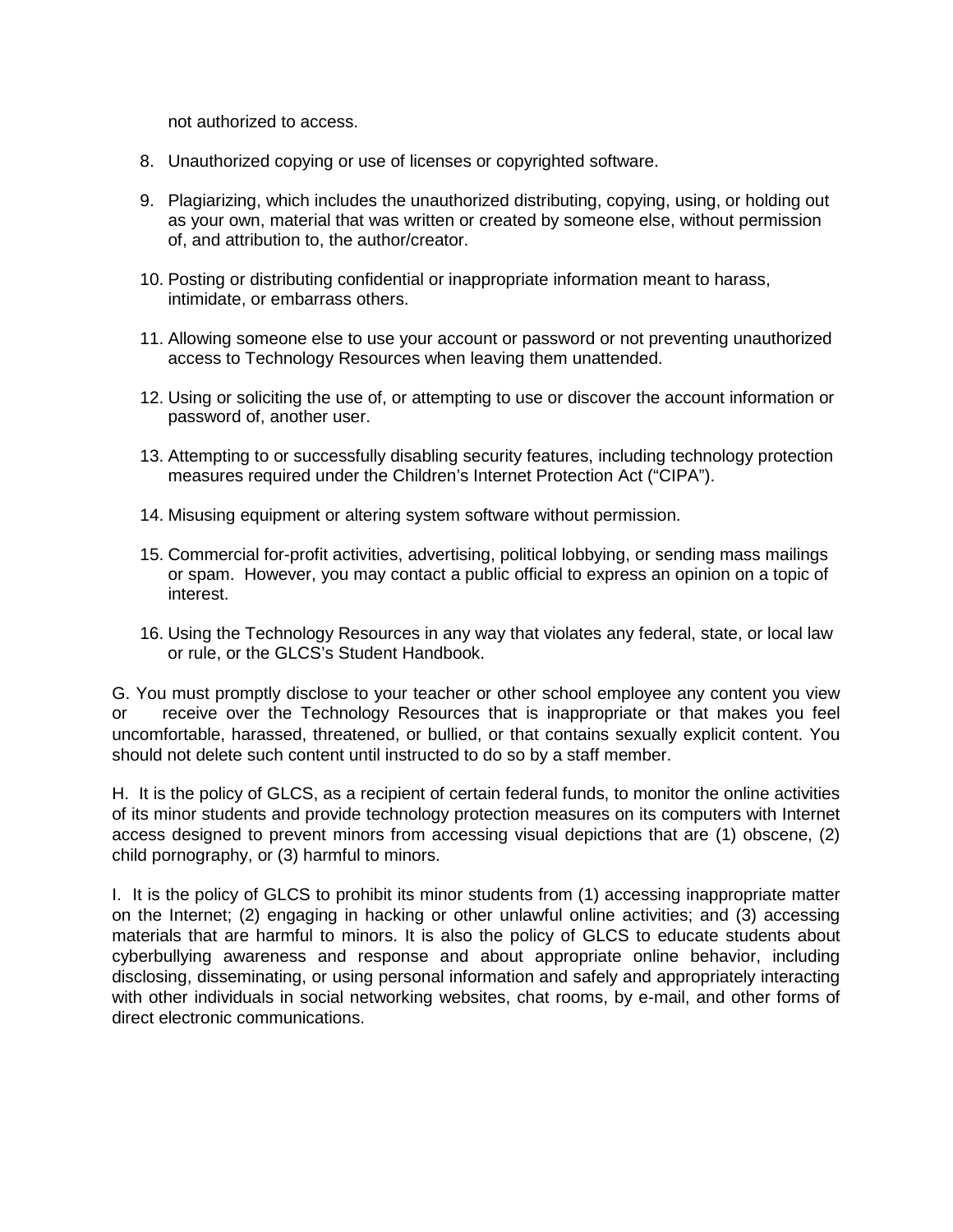not authorized to access.

- 8. Unauthorized copying or use of licenses or copyrighted software.
- 9. Plagiarizing, which includes the unauthorized distributing, copying, using, or holding out as your own, material that was written or created by someone else, without permission of, and attribution to, the author/creator.
- 10. Posting or distributing confidential or inappropriate information meant to harass, intimidate, or embarrass others.
- 11. Allowing someone else to use your account or password or not preventing unauthorized access to Technology Resources when leaving them unattended.
- 12. Using or soliciting the use of, or attempting to use or discover the account information or password of, another user.
- 13. Attempting to or successfully disabling security features, including technology protection measures required under the Children's Internet Protection Act ("CIPA").
- 14. Misusing equipment or altering system software without permission.
- 15. Commercial for-profit activities, advertising, political lobbying, or sending mass mailings or spam. However, you may contact a public official to express an opinion on a topic of interest.
- 16. Using the Technology Resources in any way that violates any federal, state, or local law or rule, or the GLCS's Student Handbook.

G. You must promptly disclose to your teacher or other school employee any content you view or receive over the Technology Resources that is inappropriate or that makes you feel uncomfortable, harassed, threatened, or bullied, or that contains sexually explicit content. You should not delete such content until instructed to do so by a staff member.

H. It is the policy of GLCS, as a recipient of certain federal funds, to monitor the online activities of its minor students and provide technology protection measures on its computers with Internet access designed to prevent minors from accessing visual depictions that are (1) obscene, (2) child pornography, or (3) harmful to minors.

I. It is the policy of GLCS to prohibit its minor students from (1) accessing inappropriate matter on the Internet; (2) engaging in hacking or other unlawful online activities; and (3) accessing materials that are harmful to minors. It is also the policy of GLCS to educate students about cyberbullying awareness and response and about appropriate online behavior, including disclosing, disseminating, or using personal information and safely and appropriately interacting with other individuals in social networking websites, chat rooms, by e-mail, and other forms of direct electronic communications.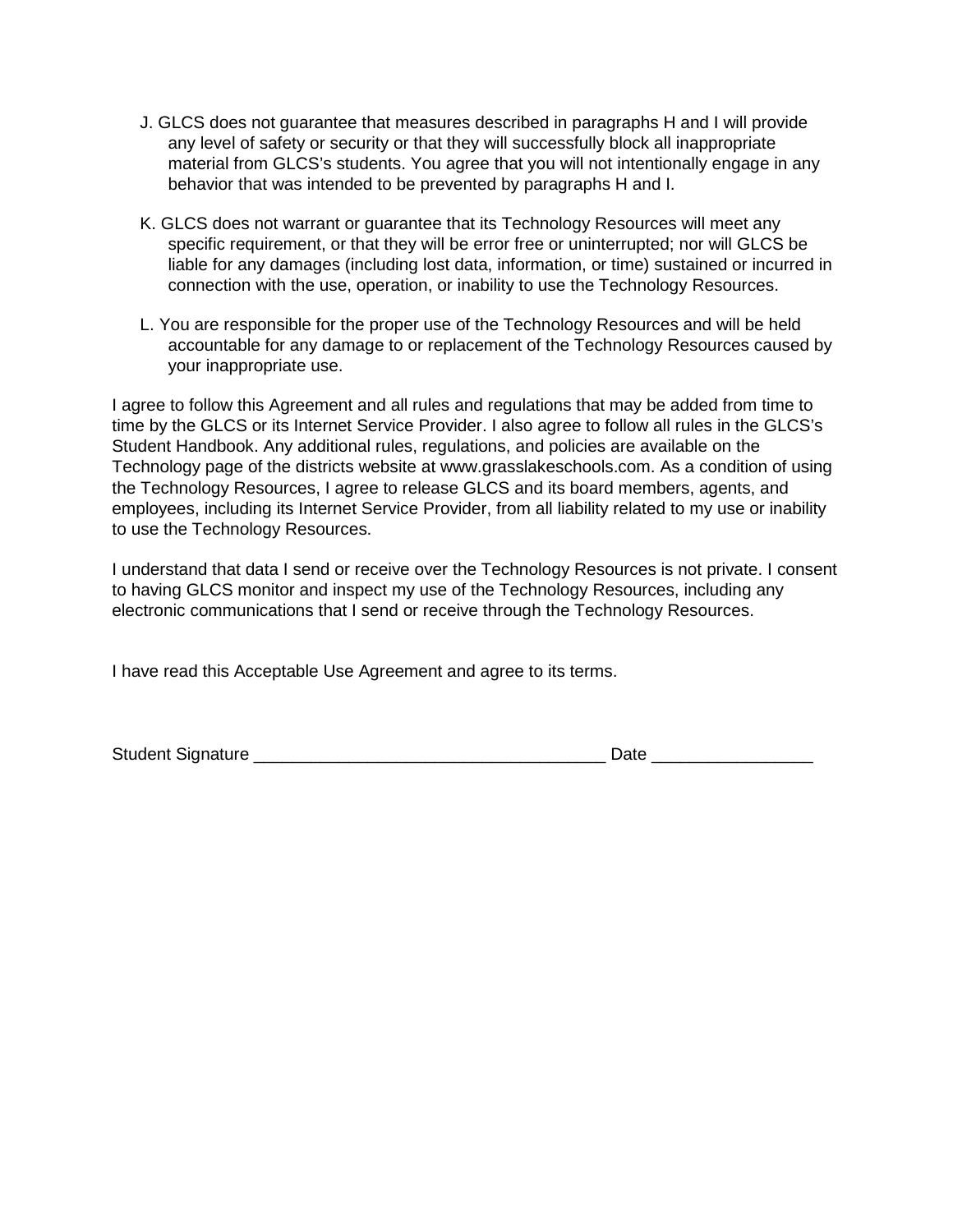- J. GLCS does not guarantee that measures described in paragraphs H and I will provide any level of safety or security or that they will successfully block all inappropriate material from GLCS's students. You agree that you will not intentionally engage in any behavior that was intended to be prevented by paragraphs H and I.
- K. GLCS does not warrant or guarantee that its Technology Resources will meet any specific requirement, or that they will be error free or uninterrupted; nor will GLCS be liable for any damages (including lost data, information, or time) sustained or incurred in connection with the use, operation, or inability to use the Technology Resources.
- L. You are responsible for the proper use of the Technology Resources and will be held accountable for any damage to or replacement of the Technology Resources caused by your inappropriate use.

I agree to follow this Agreement and all rules and regulations that may be added from time to time by the GLCS or its Internet Service Provider. I also agree to follow all rules in the GLCS's Student Handbook. Any additional rules, regulations, and policies are available on the Technology page of the districts website at www.grasslakeschools.com. As a condition of using the Technology Resources, I agree to release GLCS and its board members, agents, and employees, including its Internet Service Provider, from all liability related to my use or inability to use the Technology Resources.

I understand that data I send or receive over the Technology Resources is not private. I consent to having GLCS monitor and inspect my use of the Technology Resources, including any electronic communications that I send or receive through the Technology Resources.

I have read this Acceptable Use Agreement and agree to its terms.

| <b>Student</b> | --- |
|----------------|-----|
| : Signature    | --  |
|                |     |